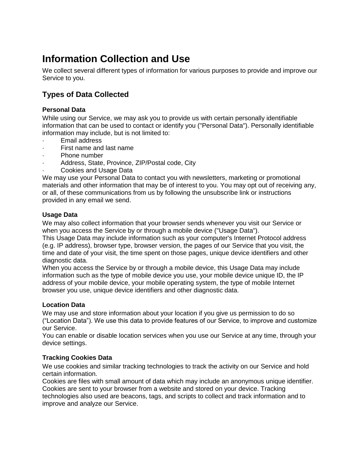## **Information Collection and Use**

We collect several different types of information for various purposes to provide and improve our Service to you.

### **Types of Data Collected**

#### **Personal Data**

While using our Service, we may ask you to provide us with certain personally identifiable information that can be used to contact or identify you ("Personal Data"). Personally identifiable information may include, but is not limited to:

- Email address
- First name and last name
- Phone number
- Address, State, Province, ZIP/Postal code, City
- Cookies and Usage Data

We may use your Personal Data to contact you with newsletters, marketing or promotional materials and other information that may be of interest to you. You may opt out of receiving any, or all, of these communications from us by following the unsubscribe link or instructions provided in any email we send.

#### **Usage Data**

We may also collect information that your browser sends whenever you visit our Service or when you access the Service by or through a mobile device ("Usage Data").

This Usage Data may include information such as your computer's Internet Protocol address (e.g. IP address), browser type, browser version, the pages of our Service that you visit, the time and date of your visit, the time spent on those pages, unique device identifiers and other diagnostic data.

When you access the Service by or through a mobile device, this Usage Data may include information such as the type of mobile device you use, your mobile device unique ID, the IP address of your mobile device, your mobile operating system, the type of mobile Internet browser you use, unique device identifiers and other diagnostic data.

#### **Location Data**

We may use and store information about your location if you give us permission to do so ("Location Data"). We use this data to provide features of our Service, to improve and customize our Service.

You can enable or disable location services when you use our Service at any time, through your device settings.

#### **Tracking Cookies Data**

We use cookies and similar tracking technologies to track the activity on our Service and hold certain information.

Cookies are files with small amount of data which may include an anonymous unique identifier. Cookies are sent to your browser from a website and stored on your device. Tracking technologies also used are beacons, tags, and scripts to collect and track information and to improve and analyze our Service.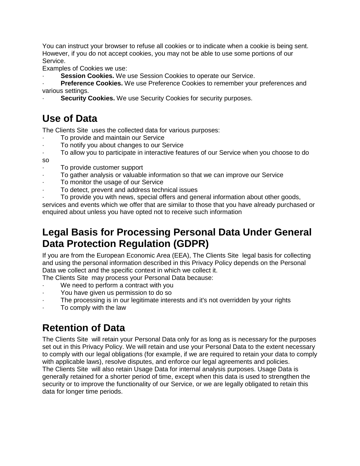You can instruct your browser to refuse all cookies or to indicate when a cookie is being sent. However, if you do not accept cookies, you may not be able to use some portions of our Service.

Examples of Cookies we use:

- **Session Cookies.** We use Session Cookies to operate our Service.
- · **Preference Cookies.** We use Preference Cookies to remember your preferences and various settings.
- **Security Cookies.** We use Security Cookies for security purposes.

### **Use of Data**

The Clients Site uses the collected data for various purposes:

- To provide and maintain our Service
- To notify you about changes to our Service
- · To allow you to participate in interactive features of our Service when you choose to do so
- To provide customer support
- · To gather analysis or valuable information so that we can improve our Service
- To monitor the usage of our Service
- To detect, prevent and address technical issues
- · To provide you with news, special offers and general information about other goods,

services and events which we offer that are similar to those that you have already purchased or enquired about unless you have opted not to receive such information

### **Legal Basis for Processing Personal Data Under General Data Protection Regulation (GDPR)**

If you are from the European Economic Area (EEA), The Clients Site legal basis for collecting and using the personal information described in this Privacy Policy depends on the Personal Data we collect and the specific context in which we collect it.

The Clients Site may process your Personal Data because:

- We need to perform a contract with you
- · You have given us permission to do so
- The processing is in our legitimate interests and it's not overridden by your rights
- To comply with the law

## **Retention of Data**

The Clients Site will retain your Personal Data only for as long as is necessary for the purposes set out in this Privacy Policy. We will retain and use your Personal Data to the extent necessary to comply with our legal obligations (for example, if we are required to retain your data to comply with applicable laws), resolve disputes, and enforce our legal agreements and policies. The Clients Site will also retain Usage Data for internal analysis purposes. Usage Data is generally retained for a shorter period of time, except when this data is used to strengthen the security or to improve the functionality of our Service, or we are legally obligated to retain this data for longer time periods.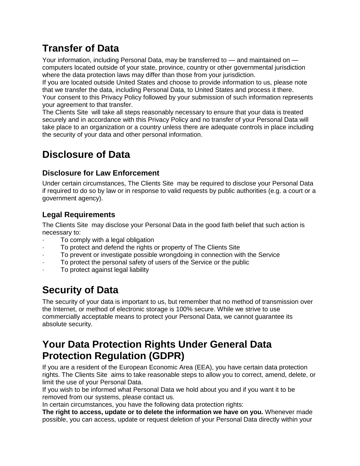## **Transfer of Data**

Your information, including Personal Data, may be transferred to — and maintained on computers located outside of your state, province, country or other governmental jurisdiction where the data protection laws may differ than those from your jurisdiction.

If you are located outside United States and choose to provide information to us, please note that we transfer the data, including Personal Data, to United States and process it there. Your consent to this Privacy Policy followed by your submission of such information represents your agreement to that transfer.

The Clients Site will take all steps reasonably necessary to ensure that your data is treated securely and in accordance with this Privacy Policy and no transfer of your Personal Data will take place to an organization or a country unless there are adequate controls in place including the security of your data and other personal information.

# **Disclosure of Data**

### **Disclosure for Law Enforcement**

Under certain circumstances, The Clients Site may be required to disclose your Personal Data if required to do so by law or in response to valid requests by public authorities (e.g. a court or a government agency).

### **Legal Requirements**

The Clients Site may disclose your Personal Data in the good faith belief that such action is necessary to:

- · To comply with a legal obligation
- To protect and defend the rights or property of The Clients Site
- · To prevent or investigate possible wrongdoing in connection with the Service
- To protect the personal safety of users of the Service or the public
- To protect against legal liability

# **Security of Data**

The security of your data is important to us, but remember that no method of transmission over the Internet, or method of electronic storage is 100% secure. While we strive to use commercially acceptable means to protect your Personal Data, we cannot guarantee its absolute security.

### **Your Data Protection Rights Under General Data Protection Regulation (GDPR)**

If you are a resident of the European Economic Area (EEA), you have certain data protection rights. The Clients Site aims to take reasonable steps to allow you to correct, amend, delete, or limit the use of your Personal Data.

If you wish to be informed what Personal Data we hold about you and if you want it to be removed from our systems, please contact us.

In certain circumstances, you have the following data protection rights:

**The right to access, update or to delete the information we have on you.** Whenever made possible, you can access, update or request deletion of your Personal Data directly within your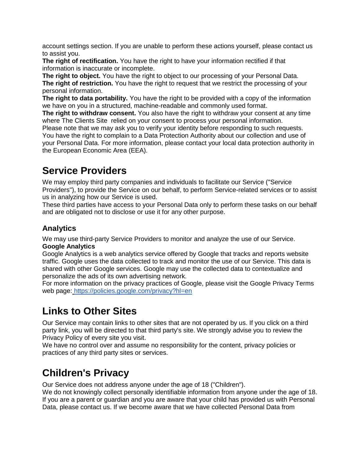account settings section. If you are unable to perform these actions yourself, please contact us to assist you.

**The right of rectification.** You have the right to have your information rectified if that information is inaccurate or incomplete.

The right to object. You have the right to object to our processing of your Personal Data. **The right of restriction.** You have the right to request that we restrict the processing of your personal information.

**The right to data portability.** You have the right to be provided with a copy of the information we have on you in a structured, machine-readable and commonly used format.

**The right to withdraw consent.** You also have the right to withdraw your consent at any time where The Clients Site relied on your consent to process your personal information.

Please note that we may ask you to verify your identity before responding to such requests. You have the right to complain to a Data Protection Authority about our collection and use of your Personal Data. For more information, please contact your local data protection authority in the European Economic Area (EEA).

### **Service Providers**

We may employ third party companies and individuals to facilitate our Service ("Service Providers"), to provide the Service on our behalf, to perform Service-related services or to assist us in analyzing how our Service is used.

These third parties have access to your Personal Data only to perform these tasks on our behalf and are obligated not to disclose or use it for any other purpose.

### **Analytics**

We may use third-party Service Providers to monitor and analyze the use of our Service. **Google Analytics**

Google Analytics is a web analytics service offered by Google that tracks and reports website traffic. Google uses the data collected to track and monitor the use of our Service. This data is shared with other Google services. Google may use the collected data to contextualize and personalize the ads of its own advertising network.

For more information on the privacy practices of Google, please visit the Google Privacy Terms web page: <https://policies.google.com/privacy?hl=en>

# **Links to Other Sites**

Our Service may contain links to other sites that are not operated by us. If you click on a third party link, you will be directed to that third party's site. We strongly advise you to review the Privacy Policy of every site you visit.

We have no control over and assume no responsibility for the content, privacy policies or practices of any third party sites or services.

## **Children's Privacy**

Our Service does not address anyone under the age of 18 ("Children").

We do not knowingly collect personally identifiable information from anyone under the age of 18. If you are a parent or guardian and you are aware that your child has provided us with Personal Data, please contact us. If we become aware that we have collected Personal Data from